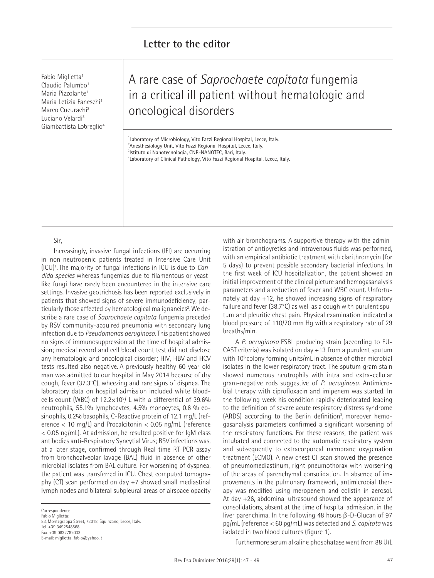Fabio Miglietta<sup>1</sup> Claudio Palumbo<sup>1</sup> Maria Pizzolante<sup>1</sup> Maria Letizia Faneschi<sup>1</sup> Marco Cucurachi2 Luciano Velardi3 Giambattista Lobreglio4

# A rare case of *Saprochaete capitata* fungemia in a critical ill patient without hematologic and oncological disorders

<sup>1</sup>Laboratory of Microbiology, Vito Fazzi Regional Hospital, Lecce, Italy.  $^{2}$ Anesthesiology Unit, Vito Fazzi Regional Hospital, Lecce, Italy. 3 Istituto di Nanotecnologia, CNR-NANOTEC, Bari, Italy. 4 Laboratory of Clinical Pathology, Vito Fazzi Regional Hospital, Lecce, Italy.

Sir,

Increasingly, invasive fungal infections (IFI) are occurring in non-neutropenic patients treated in Intensive Care Unit (ICU)1 .The majority of fungal infections in ICU is due to *Candida species* whereas fungemias due to filamentous or yeastlike fungi have rarely been encountered in the intensive care settings. Invasive geotrichosis has been reported exclusively in patients that showed signs of severe immunodeficiency, particularly those affected by hematological malignancies<sup>2</sup>. We describe a rare case of *Saprochaete capitata* fungemia preceded by RSV community-acquired pneumonia with secondary lung infection due to *Pseudomonas aeruginosa.* This patient showed no signs of immunosuppression at the time of hospital admission; medical record and cell blood count test did not disclose any hematologic and oncological disorder; HIV, HBV and HCV tests resulted also negative. A previously healthy 60 year-old man was admitted to our hospital in May 2014 because of dry cough, fever (37.3°C), wheezing and rare signs of dispnea. The laboratory data on hospital admission included white bloodcells count (WBC) of  $12.2\times10^9/$  L with a differential of 39.6% neutrophils, 55.1% lymphocytes, 4.5% monocytes, 0.6 % eosinophils, 0.2% basophils, C-Reactive protein of 12.1 mg/L (reference < 10 mg/L) and Procalcitonin < 0.05 ng/mL (reference < 0.05 ng/mL). At admission, he resulted positive for IgM class antibodies anti-Respiratory Syncytial Virus; RSV infections was, at a later stage, confirmed through Real-time RT-PCR assay from bronchoalveolar lavage (BAL) fluid in absence of other microbial isolates from BAL culture. For worsening of dyspnea, the patient was transferred in ICU. Chest computed tomography (CT) scan performed on day +7 showed small mediastinal lymph nodes and bilateral subpleural areas of airspace opacity

Correspondence: Fabio Miglietta: 83, Montegrappa Street, 73018, Squinzano, Lecce, Italy. Tel. +39 3492548568 Fax. +39 0832782033 E-mail: miglietta\_fabio@yahoo.it

with air bronchograms. A supportive therapy with the administration of antipyretics and intravenous fluids was performed, with an empirical antibiotic treatment with clarithromycin (for 5 days) to prevent possible secondary bacterial infections. In the first week of ICU hospitalization, the patient showed an initial improvement of the clinical picture and hemogasanalysis parameters and a reduction of fever and WBC count. Unfortunately at day +12, he showed increasing signs of respiratory failure and fever (38.7°C) as well as a cough with purulent sputum and pleuritic chest pain. Physical examination indicated a blood pressure of 110/70 mm Hg with a respiratory rate of 29 breaths/min.

A *P. aeruginosa* ESBL producing strain (according to EU-CAST criteria) was isolated on day +13 from a purulent sputum with 10<sup>6</sup> colony forming units/mL in absence of other microbial isolates in the lower respiratory tract. The sputum gram stain showed numerous neutrophils with intra and extra-cellular gram-negative rods suggestive of *P. aeruginosa*. Antimicrobial therapy with ciprofloxacin and imipenem was started. In the following week his condition rapidly deteriorated leading to the definition of severe acute respiratory distress syndrome (ARDS) according to the Berlin definition<sup>3</sup>, moreover hemogasanalysis parameters confirmed a significant worsening of the respiratory functions. For these reasons, the patient was intubated and connected to the automatic respiratory system and subsequently to extracorporeal membrane oxygenation treatment (ECMO). A new chest CT scan showed the presence of pneumomediastinum, right pneumothorax with worsening of the areas of parenchymal consolidation. In absence of improvements in the pulmonary framework, antimicrobial therapy was modified using meropenem and colistin in aerosol. At day +26, abdominal ultrasound showed the appearance of consolidations, absent at the time of hospital admission, in the liver parenchima. In the following 48 hours β-D-Glucan of 97 pg/mL (reference < 60 pg/mL) was detected and *S. capitata* was isolated in two blood cultures (figure 1).

Furthermore serum alkaline phosphatase went from 88 U/L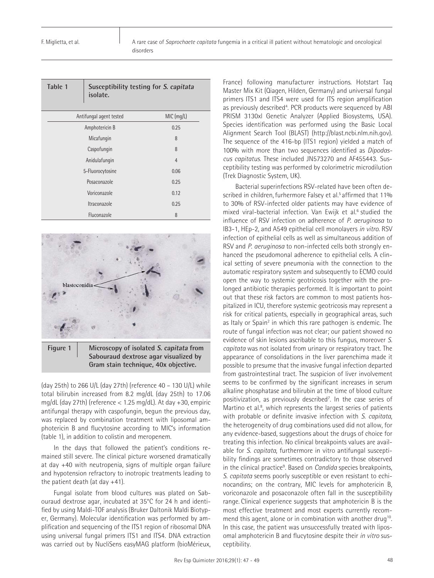| Table 1                 | Susceptibility testing for S. capitata<br>isolate. |                |
|-------------------------|----------------------------------------------------|----------------|
| Antifungal agent tested |                                                    | MIC (mq/L)     |
| Amphotericin B          |                                                    | 0.25           |
| Micafungin              |                                                    | 8              |
| Caspofungin             |                                                    | 8              |
| Anidulafungin           |                                                    | $\overline{4}$ |
| 5-Fluorocytosine        |                                                    | 0.06           |
| Posaconazole            |                                                    | 0.25           |
| Voriconazole            |                                                    | 0.12           |
| Itraconazole            |                                                    | 0.25           |
| Fluconazole             |                                                    | 8              |



**Figure 1 Microscopy of isolated S. capitata from Sabouraud dextrose agar visualized by Gram stain technique, 40x objective.**

(day 25th) to 266 U/L (day 27th) (reference 40 – 130 U/L) while total bilirubin increased from 8.2 mg/dL (day 25th) to 17.06 mg/dL (day 27th) (reference < 1.25 mg/dL). At day +30, empiric antifungal therapy with caspofungin, begun the previous day, was replaced by combination treatment with liposomal amphotericin B and flucytosine according to MIC's information (table 1), in addition to colistin and meropenem.

In the days that followed the patient's conditions remained still severe. The clinical picture worsened dramatically at day +40 with neutropenia, signs of multiple organ failure and hypotension refractory to inotropic treatments leading to the patient death (at day  $+41$ ).

Fungal isolate from blood cultures was plated on Sabouraud dextrose agar, incubated at 35°C for 24 h and identified by using Maldi-TOF analysis (Bruker Daltonik Maldi Biotyper, Germany). Molecular identification was performed by amplification and sequencing of the ITS1 region of ribosomal DNA using universal fungal primers ITS1 and ITS4. DNA extraction was carried out by NucliSens easyMAG platform (bioMérieux, France) following manufacturer instructions. Hotstart Taq Master Mix Kit (Qiagen, Hilden, Germany) and universal fungal primers ITS1 and ITS4 were used for ITS region amplification as previously described<sup>4</sup>. PCR products were sequenced by ABI PRISM 3130xl Genetic Analyzer (Applied Biosystems, USA). Species identification was performed using the Basic Local Alignment Search Tool (BLAST) (http://blast.ncbi.nlm.nih.gov). The sequence of the 416-bp (ITS1 region) yielded a match of 100% with more than two sequences identified as *Dipodascus capitatus*. These included JN573270 and AF455443. Susceptibility testing was performed by colorimetric microdilution (Trek Diagnostic System, UK).

Bacterial superinfections RSV-related have been often described in children, furhermore Falsey et al.<sup>5</sup> affirmed that 11% to 30% of RSV-infected older patients may have evidence of mixed viral-bacterial infection. Van Ewijk et al.<sup>6</sup> studied the influence of RSV infection on adherence of *P. aeruginosa* to IB3-1, HEp-2, and A549 epithelial cell monolayers *in vitro*. RSV infection of epithelial cells as well as simultaneous addition of RSV and *P. aeruginosa* to non-infected cells both strongly enhanced the pseudomonal adherence to epithelial cells. A clinical setting of severe pneumonia with the connection to the automatic respiratory system and subsequently to ECMO could open the way to systemic geotricosis together with the prolonged antibiotic therapies performed. It is important to point out that these risk factors are common to most patients hospitalized in ICU, therefore systemic geotricosis may represent a risk for critical patients, especially in geographical areas, such as Italy or Spain<sup>2</sup> in which this rare pathogen is endemic. The route of fungal infection was not clear; our patient showed no evidence of skin lesions ascribable to this fungus, moreover *S. capitata* was not isolated from urinary or respiratory tract. The appearance of consolidations in the liver parenchima made it possible to presume that the invasive fungal infection departed from gastrointestinal tract. The suspicion of liver involvement seems to be confirmed by the significant increases in serum alkaline phosphatase and bilirubin at the time of blood culture positivization, as previously described<sup>7</sup>. In the case series of Martino et al.<sup>8</sup>, which represents the largest series of patients with probable or definite invasive infection with *S. capitata*, the heterogeneity of drug combinations used did not allow, for any evidence-based, suggestions about the drugs of choice for treating this infection. No clinical breakpoints values are available for *S. capitata*, furthermore in vitro antifungal susceptibility findings are sometimes contradictory to those observed in the clinical practice<sup>9</sup>. Based on *Candida* species breakpoints, *S. capitata* seems poorly susceptible or even resistant to echinocandins; on the contrary, MIC levels for amphotericin B, voriconazole and posaconazole often fall in the susceptibility range. Clinical experience suggests that amphotericin B is the most effective treatment and most experts currently recommend this agent, alone or in combination with another drug<sup>10</sup>. In this case, the patient was unsuccessfully treated with liposomal amphotericin B and flucytosine despite their *in vitro* susceptibility.